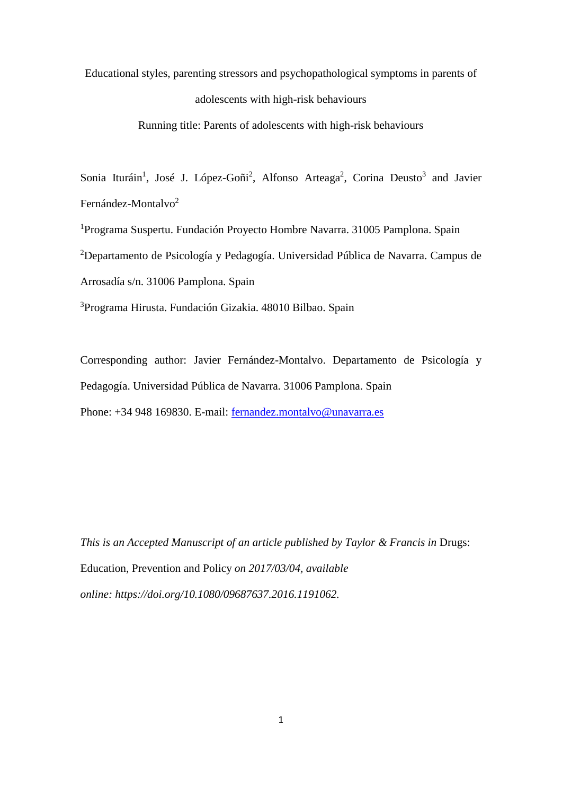Educational styles, parenting stressors and psychopathological symptoms in parents of adolescents with high-risk behaviours

Running title: Parents of adolescents with high-risk behaviours

Sonia Ituráin<sup>1</sup>, José J. López-Goñi<sup>2</sup>, Alfonso Arteaga<sup>2</sup>, Corina Deusto<sup>3</sup> and Javier Fernández-Montalvo<sup>2</sup>

<sup>1</sup>Programa Suspertu. Fundación Proyecto Hombre Navarra. 31005 Pamplona. Spain

2 Departamento de Psicología y Pedagogía. Universidad Pública de Navarra. Campus de

Arrosadía s/n. 31006 Pamplona. Spain

3 Programa Hirusta. Fundación Gizakia. 48010 Bilbao. Spain

Corresponding author: Javier Fernández-Montalvo. Departamento de Psicología y Pedagogía. Universidad Pública de Navarra. 31006 Pamplona. Spain Phone: +34 948 169830. E-mail: [fernandez.montalvo@unavarra.es](mailto:fernandez.montalvo@unavarra.es)

*This is an Accepted Manuscript of an article published by Taylor & Francis in Drugs:* Education, Prevention and Policy *on 2017/03/04, available online: https://doi.org/10.1080/09687637.2016.1191062.*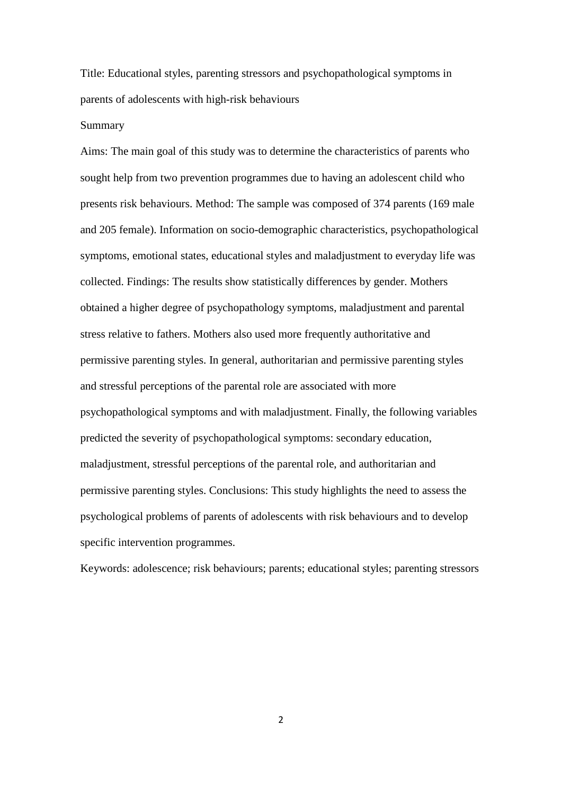Title: Educational styles, parenting stressors and psychopathological symptoms in parents of adolescents with high-risk behaviours

# Summary

Aims: The main goal of this study was to determine the characteristics of parents who sought help from two prevention programmes due to having an adolescent child who presents risk behaviours. Method: The sample was composed of 374 parents (169 male and 205 female). Information on socio-demographic characteristics, psychopathological symptoms, emotional states, educational styles and maladjustment to everyday life was collected. Findings: The results show statistically differences by gender. Mothers obtained a higher degree of psychopathology symptoms, maladjustment and parental stress relative to fathers. Mothers also used more frequently authoritative and permissive parenting styles. In general, authoritarian and permissive parenting styles and stressful perceptions of the parental role are associated with more psychopathological symptoms and with maladjustment. Finally, the following variables predicted the severity of psychopathological symptoms: secondary education, maladjustment, stressful perceptions of the parental role, and authoritarian and permissive parenting styles. Conclusions: This study highlights the need to assess the psychological problems of parents of adolescents with risk behaviours and to develop specific intervention programmes.

Keywords: adolescence; risk behaviours; parents; educational styles; parenting stressors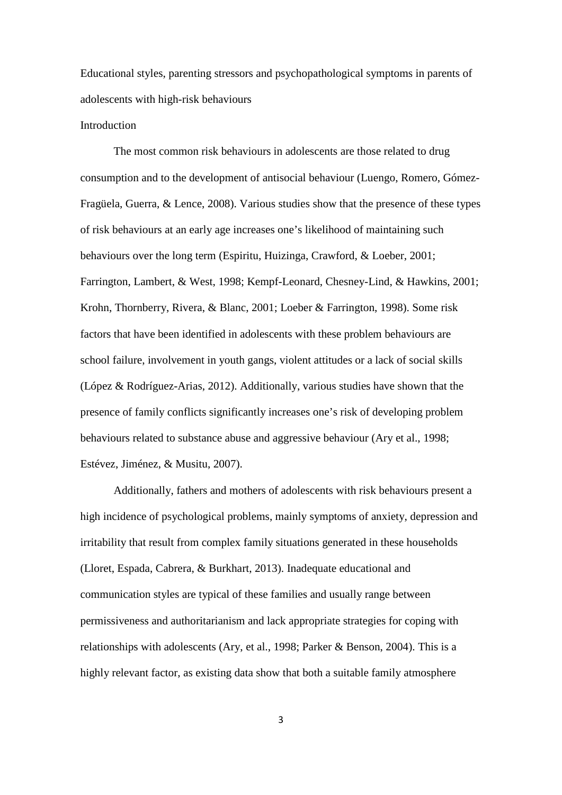Educational styles, parenting stressors and psychopathological symptoms in parents of adolescents with high-risk behaviours

## **Introduction**

The most common risk behaviours in adolescents are those related to drug consumption and to the development of antisocial behaviour (Luengo, Romero, Gómez-Fragüela, Guerra, & Lence, 2008). Various studies show that the presence of these types of risk behaviours at an early age increases one's likelihood of maintaining such behaviours over the long term (Espiritu, Huizinga, Crawford, & Loeber, 2001; Farrington, Lambert, & West, 1998; Kempf-Leonard, Chesney-Lind, & Hawkins, 2001; Krohn, Thornberry, Rivera, & Blanc, 2001; Loeber & Farrington, 1998). Some risk factors that have been identified in adolescents with these problem behaviours are school failure, involvement in youth gangs, violent attitudes or a lack of social skills (López & Rodríguez-Arias, 2012). Additionally, various studies have shown that the presence of family conflicts significantly increases one's risk of developing problem behaviours related to substance abuse and aggressive behaviour (Ary et al., 1998; Estévez, Jiménez, & Musitu, 2007).

Additionally, fathers and mothers of adolescents with risk behaviours present a high incidence of psychological problems, mainly symptoms of anxiety, depression and irritability that result from complex family situations generated in these households (Lloret, Espada, Cabrera, & Burkhart, 2013). Inadequate educational and communication styles are typical of these families and usually range between permissiveness and authoritarianism and lack appropriate strategies for coping with relationships with adolescents (Ary, et al., 1998; Parker & Benson, 2004). This is a highly relevant factor, as existing data show that both a suitable family atmosphere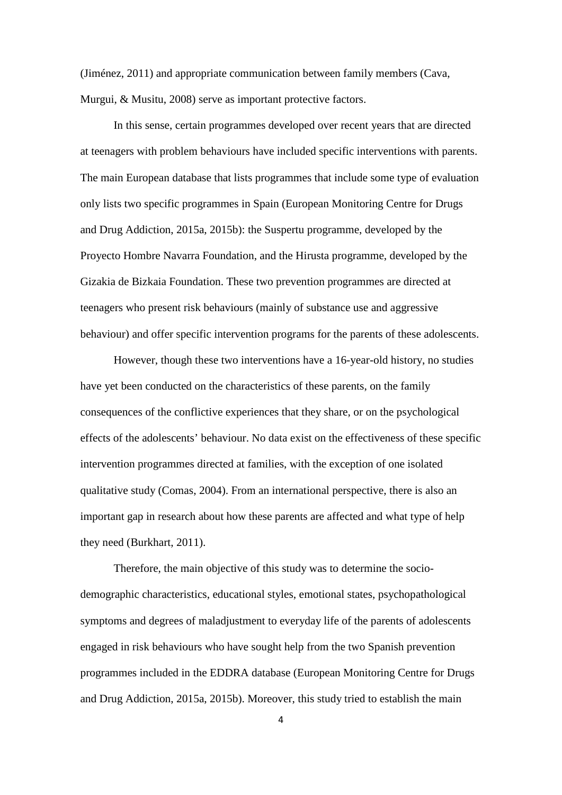(Jiménez, 2011) and appropriate communication between family members (Cava, Murgui, & Musitu, 2008) serve as important protective factors.

In this sense, certain programmes developed over recent years that are directed at teenagers with problem behaviours have included specific interventions with parents. The main European database that lists programmes that include some type of evaluation only lists two specific programmes in Spain (European Monitoring Centre for Drugs and Drug Addiction, 2015a, 2015b): the Suspertu programme, developed by the Proyecto Hombre Navarra Foundation, and the Hirusta programme, developed by the Gizakia de Bizkaia Foundation. These two prevention programmes are directed at teenagers who present risk behaviours (mainly of substance use and aggressive behaviour) and offer specific intervention programs for the parents of these adolescents.

However, though these two interventions have a 16-year-old history, no studies have yet been conducted on the characteristics of these parents, on the family consequences of the conflictive experiences that they share, or on the psychological effects of the adolescents' behaviour. No data exist on the effectiveness of these specific intervention programmes directed at families, with the exception of one isolated qualitative study (Comas, 2004). From an international perspective, there is also an important gap in research about how these parents are affected and what type of help they need (Burkhart, 2011).

Therefore, the main objective of this study was to determine the sociodemographic characteristics, educational styles, emotional states, psychopathological symptoms and degrees of maladjustment to everyday life of the parents of adolescents engaged in risk behaviours who have sought help from the two Spanish prevention programmes included in the EDDRA database (European Monitoring Centre for Drugs and Drug Addiction, 2015a, 2015b). Moreover, this study tried to establish the main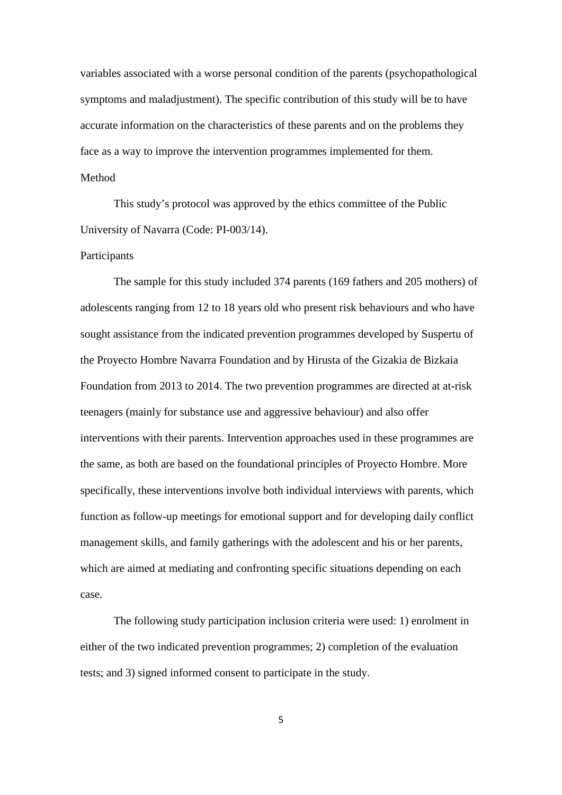variables associated with a worse personal condition of the parents (psychopathological symptoms and maladjustment). The specific contribution of this study will be to have accurate information on the characteristics of these parents and on the problems they face as a way to improve the intervention programmes implemented for them.

# Method

This study's protocol was approved by the ethics committee of the Public University of Navarra (Code: PI-003/14).

## Participants

The sample for this study included 374 parents (169 fathers and 205 mothers) of adolescents ranging from 12 to 18 years old who present risk behaviours and who have sought assistance from the indicated prevention programmes developed by Suspertu of the Proyecto Hombre Navarra Foundation and by Hirusta of the Gizakia de Bizkaia Foundation from 2013 to 2014. The two prevention programmes are directed at at-risk teenagers (mainly for substance use and aggressive behaviour) and also offer interventions with their parents. Intervention approaches used in these programmes are the same, as both are based on the foundational principles of Proyecto Hombre. More specifically, these interventions involve both individual interviews with parents, which function as follow-up meetings for emotional support and for developing daily conflict management skills, and family gatherings with the adolescent and his or her parents, which are aimed at mediating and confronting specific situations depending on each case.

The following study participation inclusion criteria were used: 1) enrolment in either of the two indicated prevention programmes; 2) completion of the evaluation tests; and 3) signed informed consent to participate in the study.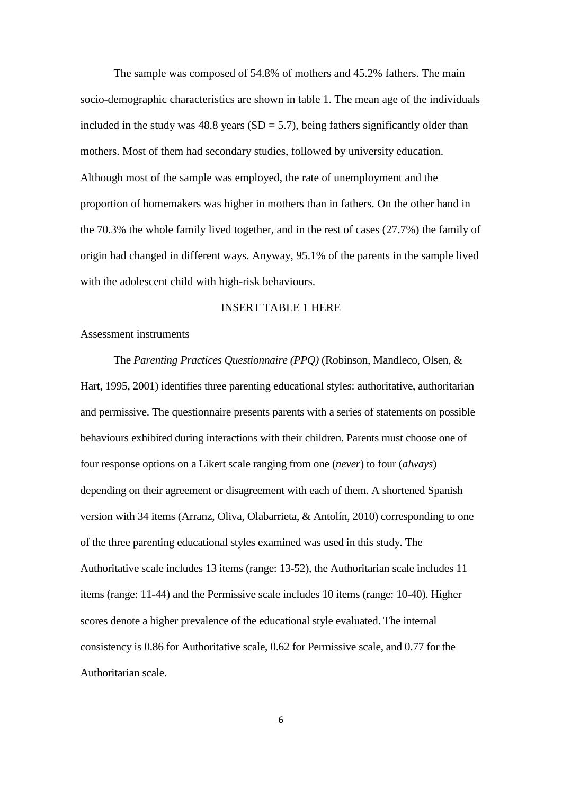The sample was composed of 54.8% of mothers and 45.2% fathers. The main socio-demographic characteristics are shown in table 1. The mean age of the individuals included in the study was  $48.8$  years (SD = 5.7), being fathers significantly older than mothers. Most of them had secondary studies, followed by university education. Although most of the sample was employed, the rate of unemployment and the proportion of homemakers was higher in mothers than in fathers. On the other hand in the 70.3% the whole family lived together, and in the rest of cases (27.7%) the family of origin had changed in different ways. Anyway, 95.1% of the parents in the sample lived with the adolescent child with high-risk behaviours.

## INSERT TABLE 1 HERE

Assessment instruments

The *Parenting Practices Questionnaire (PPQ)* (Robinson, Mandleco, Olsen, & Hart, 1995, 2001) identifies three parenting educational styles: authoritative, authoritarian and permissive. The questionnaire presents parents with a series of statements on possible behaviours exhibited during interactions with their children. Parents must choose one of four response options on a Likert scale ranging from one (*never*) to four (*always*) depending on their agreement or disagreement with each of them. A shortened Spanish version with 34 items (Arranz, Oliva, Olabarrieta, & Antolín, 2010) corresponding to one of the three parenting educational styles examined was used in this study. The Authoritative scale includes 13 items (range: 13-52), the Authoritarian scale includes 11 items (range: 11-44) and the Permissive scale includes 10 items (range: 10-40). Higher scores denote a higher prevalence of the educational style evaluated. The internal consistency is 0.86 for Authoritative scale, 0.62 for Permissive scale, and 0.77 for the Authoritarian scale.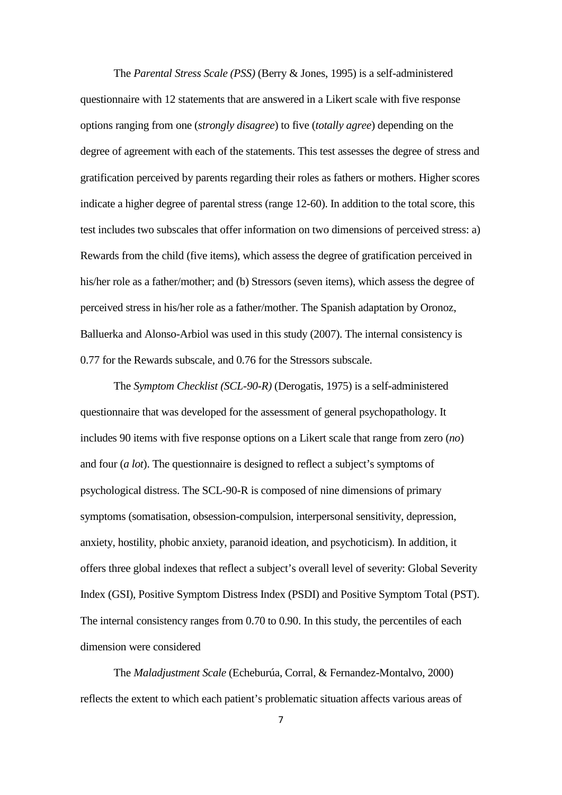The *Parental Stress Scale (PSS)* (Berry & Jones, 1995) is a self-administered questionnaire with 12 statements that are answered in a Likert scale with five response options ranging from one (*strongly disagree*) to five (*totally agree*) depending on the degree of agreement with each of the statements. This test assesses the degree of stress and gratification perceived by parents regarding their roles as fathers or mothers. Higher scores indicate a higher degree of parental stress (range 12-60). In addition to the total score, this test includes two subscales that offer information on two dimensions of perceived stress: a) Rewards from the child (five items), which assess the degree of gratification perceived in his/her role as a father/mother; and (b) Stressors (seven items), which assess the degree of perceived stress in his/her role as a father/mother. The Spanish adaptation by Oronoz, Balluerka and Alonso-Arbiol was used in this study (2007). The internal consistency is 0.77 for the Rewards subscale, and 0.76 for the Stressors subscale.

The *Symptom Checklist (SCL-90-R)* (Derogatis, 1975) is a self-administered questionnaire that was developed for the assessment of general psychopathology. It includes 90 items with five response options on a Likert scale that range from zero (*no*) and four (*a lot*). The questionnaire is designed to reflect a subject's symptoms of psychological distress. The SCL-90-R is composed of nine dimensions of primary symptoms (somatisation, obsession-compulsion, interpersonal sensitivity, depression, anxiety, hostility, phobic anxiety, paranoid ideation, and psychoticism). In addition, it offers three global indexes that reflect a subject's overall level of severity: Global Severity Index (GSI), Positive Symptom Distress Index (PSDI) and Positive Symptom Total (PST). The internal consistency ranges from 0.70 to 0.90. In this study, the percentiles of each dimension were considered

The *Maladjustment Scale* (Echeburúa, Corral, & Fernandez-Montalvo, 2000) reflects the extent to which each patient's problematic situation affects various areas of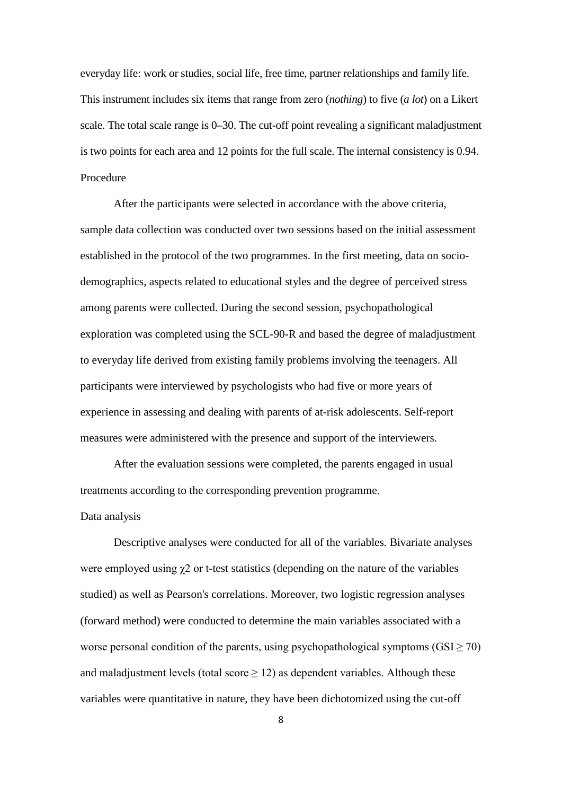everyday life: work or studies, social life, free time, partner relationships and family life. This instrument includes six items that range from zero (*nothing*) to five (*a lot*) on a Likert scale. The total scale range is 0–30. The cut-off point revealing a significant maladjustment is two points for each area and 12 points for the full scale. The internal consistency is 0.94. Procedure

After the participants were selected in accordance with the above criteria, sample data collection was conducted over two sessions based on the initial assessment established in the protocol of the two programmes. In the first meeting, data on sociodemographics, aspects related to educational styles and the degree of perceived stress among parents were collected. During the second session, psychopathological exploration was completed using the SCL-90-R and based the degree of maladjustment to everyday life derived from existing family problems involving the teenagers. All participants were interviewed by psychologists who had five or more years of experience in assessing and dealing with parents of at-risk adolescents. Self-report measures were administered with the presence and support of the interviewers.

After the evaluation sessions were completed, the parents engaged in usual treatments according to the corresponding prevention programme.

# Data analysis

Descriptive analyses were conducted for all of the variables. Bivariate analyses were employed using  $\gamma$ 2 or t-test statistics (depending on the nature of the variables studied) as well as Pearson's correlations. Moreover, two logistic regression analyses (forward method) were conducted to determine the main variables associated with a worse personal condition of the parents, using psychopathological symptoms  $(GSI > 70)$ and maladjustment levels (total score  $\geq$  12) as dependent variables. Although these variables were quantitative in nature, they have been dichotomized using the cut-off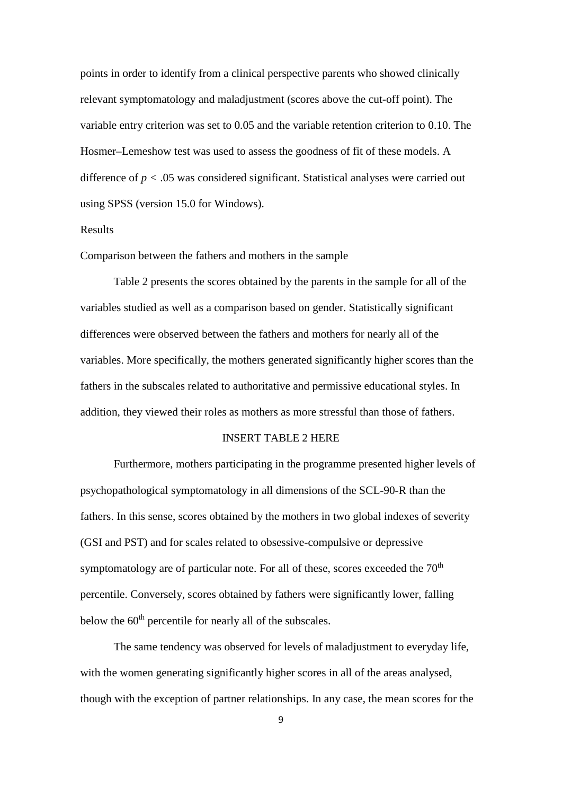points in order to identify from a clinical perspective parents who showed clinically relevant symptomatology and maladjustment (scores above the cut-off point). The variable entry criterion was set to 0.05 and the variable retention criterion to 0.10. The Hosmer–Lemeshow test was used to assess the goodness of fit of these models. A difference of *p <* .05 was considered significant. Statistical analyses were carried out using SPSS (version 15.0 for Windows).

# Results

Comparison between the fathers and mothers in the sample

Table 2 presents the scores obtained by the parents in the sample for all of the variables studied as well as a comparison based on gender. Statistically significant differences were observed between the fathers and mothers for nearly all of the variables. More specifically, the mothers generated significantly higher scores than the fathers in the subscales related to authoritative and permissive educational styles. In addition, they viewed their roles as mothers as more stressful than those of fathers.

### INSERT TABLE 2 HERE

Furthermore, mothers participating in the programme presented higher levels of psychopathological symptomatology in all dimensions of the SCL-90-R than the fathers. In this sense, scores obtained by the mothers in two global indexes of severity (GSI and PST) and for scales related to obsessive-compulsive or depressive symptomatology are of particular note. For all of these, scores exceeded the  $70<sup>th</sup>$ percentile. Conversely, scores obtained by fathers were significantly lower, falling below the 60<sup>th</sup> percentile for nearly all of the subscales.

The same tendency was observed for levels of maladjustment to everyday life, with the women generating significantly higher scores in all of the areas analysed, though with the exception of partner relationships. In any case, the mean scores for the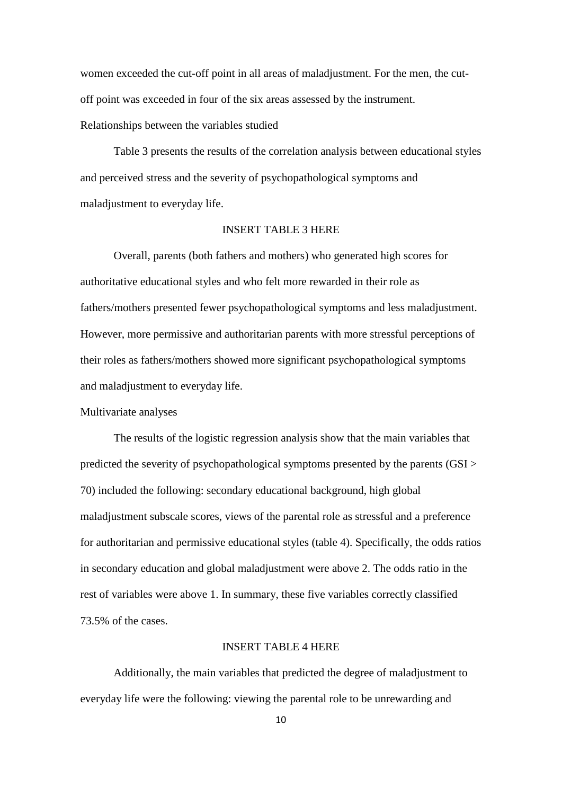women exceeded the cut-off point in all areas of maladjustment. For the men, the cutoff point was exceeded in four of the six areas assessed by the instrument. Relationships between the variables studied

Table 3 presents the results of the correlation analysis between educational styles and perceived stress and the severity of psychopathological symptoms and maladjustment to everyday life.

#### INSERT TABLE 3 HERE

Overall, parents (both fathers and mothers) who generated high scores for authoritative educational styles and who felt more rewarded in their role as fathers/mothers presented fewer psychopathological symptoms and less maladjustment. However, more permissive and authoritarian parents with more stressful perceptions of their roles as fathers/mothers showed more significant psychopathological symptoms and maladjustment to everyday life.

Multivariate analyses

The results of the logistic regression analysis show that the main variables that predicted the severity of psychopathological symptoms presented by the parents (GSI > 70) included the following: secondary educational background, high global maladjustment subscale scores, views of the parental role as stressful and a preference for authoritarian and permissive educational styles (table 4). Specifically, the odds ratios in secondary education and global maladjustment were above 2. The odds ratio in the rest of variables were above 1. In summary, these five variables correctly classified 73.5% of the cases.

### INSERT TABLE 4 HERE

Additionally, the main variables that predicted the degree of maladjustment to everyday life were the following: viewing the parental role to be unrewarding and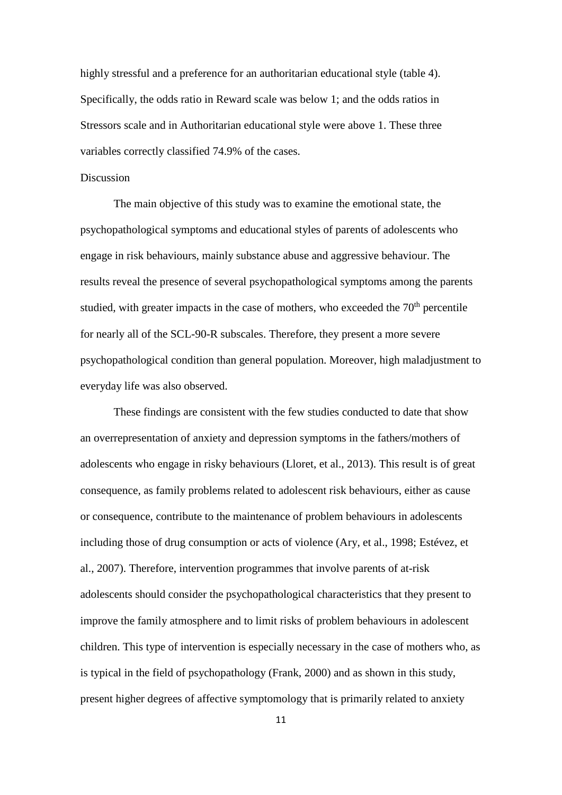highly stressful and a preference for an authoritarian educational style (table 4). Specifically, the odds ratio in Reward scale was below 1; and the odds ratios in Stressors scale and in Authoritarian educational style were above 1. These three variables correctly classified 74.9% of the cases.

#### **Discussion**

The main objective of this study was to examine the emotional state, the psychopathological symptoms and educational styles of parents of adolescents who engage in risk behaviours, mainly substance abuse and aggressive behaviour. The results reveal the presence of several psychopathological symptoms among the parents studied, with greater impacts in the case of mothers, who exceeded the  $70<sup>th</sup>$  percentile for nearly all of the SCL-90-R subscales. Therefore, they present a more severe psychopathological condition than general population. Moreover, high maladjustment to everyday life was also observed.

These findings are consistent with the few studies conducted to date that show an overrepresentation of anxiety and depression symptoms in the fathers/mothers of adolescents who engage in risky behaviours (Lloret, et al., 2013). This result is of great consequence, as family problems related to adolescent risk behaviours, either as cause or consequence, contribute to the maintenance of problem behaviours in adolescents including those of drug consumption or acts of violence (Ary, et al., 1998; Estévez, et al., 2007). Therefore, intervention programmes that involve parents of at-risk adolescents should consider the psychopathological characteristics that they present to improve the family atmosphere and to limit risks of problem behaviours in adolescent children. This type of intervention is especially necessary in the case of mothers who, as is typical in the field of psychopathology (Frank, 2000) and as shown in this study, present higher degrees of affective symptomology that is primarily related to anxiety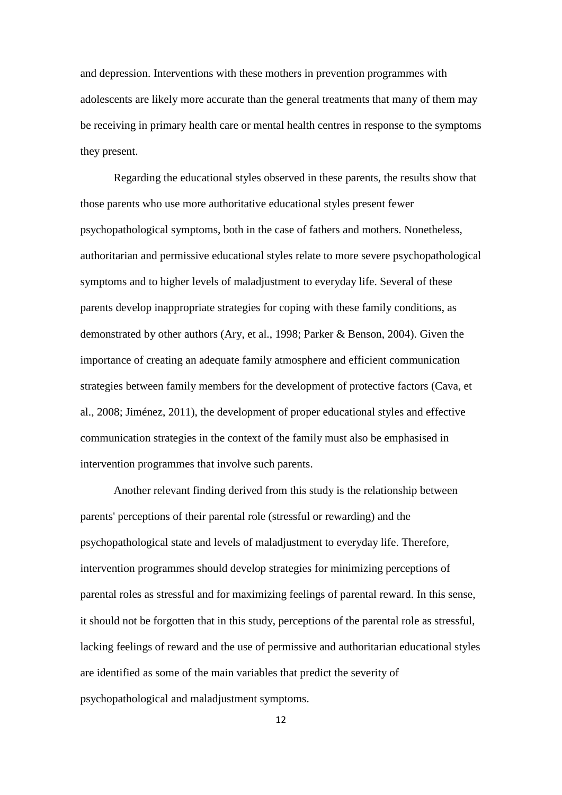and depression. Interventions with these mothers in prevention programmes with adolescents are likely more accurate than the general treatments that many of them may be receiving in primary health care or mental health centres in response to the symptoms they present.

Regarding the educational styles observed in these parents, the results show that those parents who use more authoritative educational styles present fewer psychopathological symptoms, both in the case of fathers and mothers. Nonetheless, authoritarian and permissive educational styles relate to more severe psychopathological symptoms and to higher levels of maladjustment to everyday life. Several of these parents develop inappropriate strategies for coping with these family conditions, as demonstrated by other authors (Ary, et al., 1998; Parker & Benson, 2004). Given the importance of creating an adequate family atmosphere and efficient communication strategies between family members for the development of protective factors (Cava, et al., 2008; Jiménez, 2011), the development of proper educational styles and effective communication strategies in the context of the family must also be emphasised in intervention programmes that involve such parents.

Another relevant finding derived from this study is the relationship between parents' perceptions of their parental role (stressful or rewarding) and the psychopathological state and levels of maladjustment to everyday life. Therefore, intervention programmes should develop strategies for minimizing perceptions of parental roles as stressful and for maximizing feelings of parental reward. In this sense, it should not be forgotten that in this study, perceptions of the parental role as stressful, lacking feelings of reward and the use of permissive and authoritarian educational styles are identified as some of the main variables that predict the severity of psychopathological and maladjustment symptoms.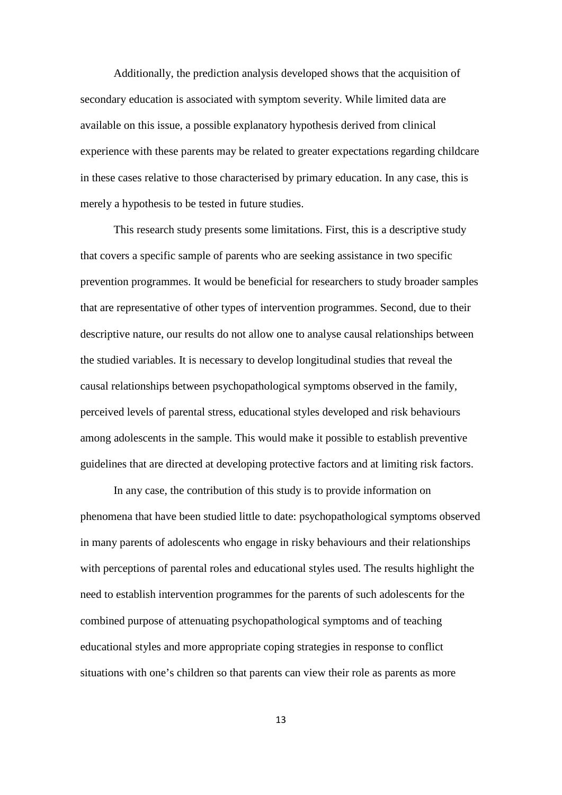Additionally, the prediction analysis developed shows that the acquisition of secondary education is associated with symptom severity. While limited data are available on this issue, a possible explanatory hypothesis derived from clinical experience with these parents may be related to greater expectations regarding childcare in these cases relative to those characterised by primary education. In any case, this is merely a hypothesis to be tested in future studies.

This research study presents some limitations. First, this is a descriptive study that covers a specific sample of parents who are seeking assistance in two specific prevention programmes. It would be beneficial for researchers to study broader samples that are representative of other types of intervention programmes. Second, due to their descriptive nature, our results do not allow one to analyse causal relationships between the studied variables. It is necessary to develop longitudinal studies that reveal the causal relationships between psychopathological symptoms observed in the family, perceived levels of parental stress, educational styles developed and risk behaviours among adolescents in the sample. This would make it possible to establish preventive guidelines that are directed at developing protective factors and at limiting risk factors.

In any case, the contribution of this study is to provide information on phenomena that have been studied little to date: psychopathological symptoms observed in many parents of adolescents who engage in risky behaviours and their relationships with perceptions of parental roles and educational styles used. The results highlight the need to establish intervention programmes for the parents of such adolescents for the combined purpose of attenuating psychopathological symptoms and of teaching educational styles and more appropriate coping strategies in response to conflict situations with one's children so that parents can view their role as parents as more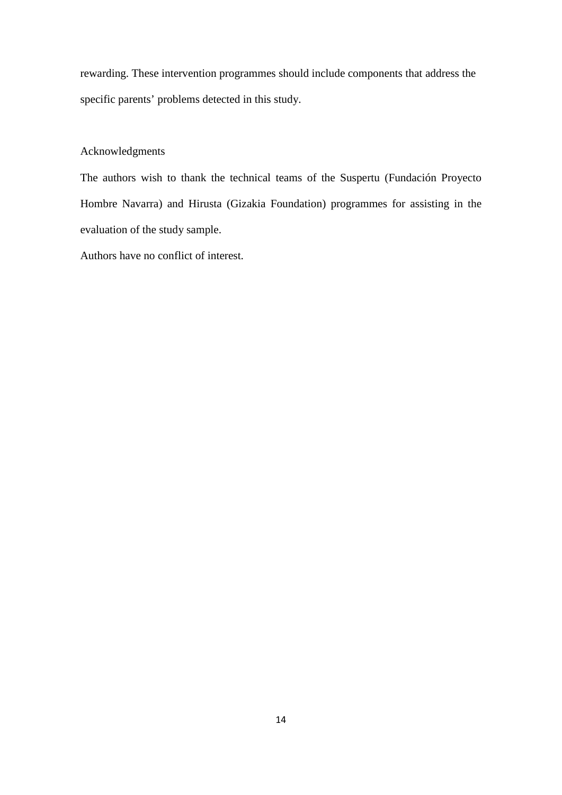rewarding. These intervention programmes should include components that address the specific parents' problems detected in this study.

# Acknowledgments

The authors wish to thank the technical teams of the Suspertu (Fundación Proyecto Hombre Navarra) and Hirusta (Gizakia Foundation) programmes for assisting in the evaluation of the study sample.

Authors have no conflict of interest.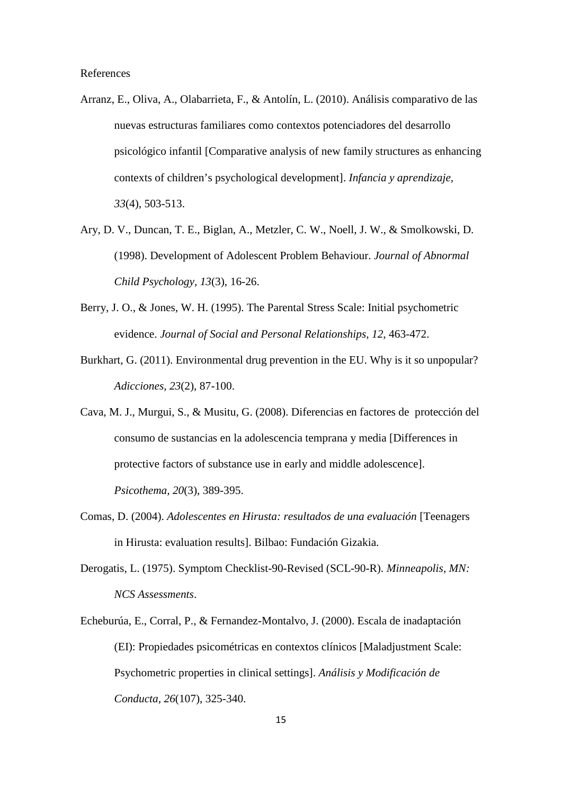References

- Arranz, E., Oliva, A., Olabarrieta, F., & Antolín, L. (2010). Análisis comparativo de las nuevas estructuras familiares como contextos potenciadores del desarrollo psicológico infantil [Comparative analysis of new family structures as enhancing contexts of children's psychological development]. *Infancia y aprendizaje, 33*(4), 503-513.
- Ary, D. V., Duncan, T. E., Biglan, A., Metzler, C. W., Noell, J. W., & Smolkowski, D. (1998). Development of Adolescent Problem Behaviour. *Journal of Abnormal Child Psychology, 13*(3), 16-26.
- Berry, J. O., & Jones, W. H. (1995). The Parental Stress Scale: Initial psychometric evidence. *Journal of Social and Personal Relationships, 12*, 463-472.
- Burkhart, G. (2011). Environmental drug prevention in the EU. Why is it so unpopular? *Adicciones, 23*(2), 87-100.
- Cava, M. J., Murgui, S., & Musitu, G. (2008). Diferencias en factores de protección del consumo de sustancias en la adolescencia temprana y media [Differences in protective factors of substance use in early and middle adolescence]. *Psicothema, 20*(3), 389-395.
- Comas, D. (2004). *Adolescentes en Hirusta: resultados de una evaluación* [Teenagers in Hirusta: evaluation results]. Bilbao: Fundación Gizakia.
- Derogatis, L. (1975). Symptom Checklist-90-Revised (SCL-90-R). *Minneapolis, MN: NCS Assessments*.
- Echeburúa, E., Corral, P., & Fernandez-Montalvo, J. (2000). Escala de inadaptación (EI): Propiedades psicométricas en contextos clínicos [Maladjustment Scale: Psychometric properties in clinical settings]. *Análisis y Modificación de Conducta, 26*(107), 325-340.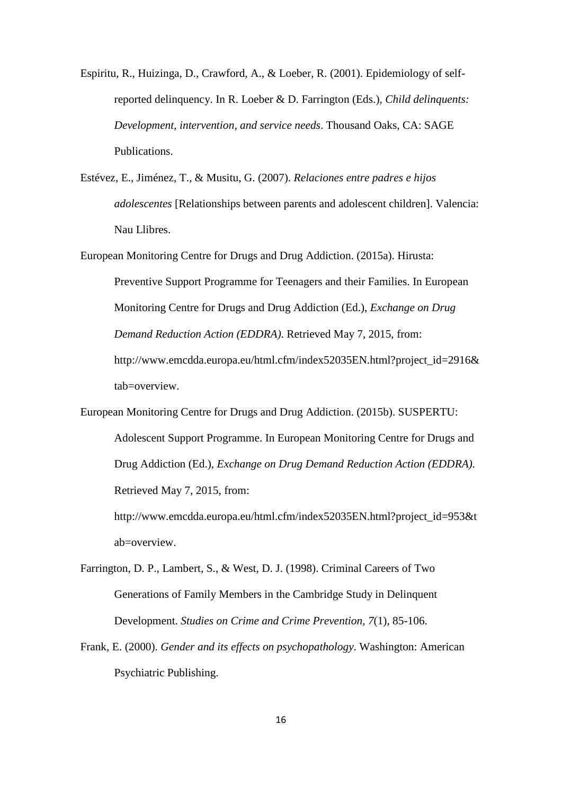- Espiritu, R., Huizinga, D., Crawford, A., & Loeber, R. (2001). Epidemiology of selfreported delinquency. In R. Loeber & D. Farrington (Eds.), *Child delinquents: Development, intervention, and service needs*. Thousand Oaks, CA: SAGE Publications.
- Estévez, E., Jiménez, T., & Musitu, G. (2007). *Relaciones entre padres e hijos adolescentes* [Relationships between parents and adolescent children]. Valencia: Nau Llibres.
- European Monitoring Centre for Drugs and Drug Addiction. (2015a). Hirusta: Preventive Support Programme for Teenagers and their Families. In European Monitoring Centre for Drugs and Drug Addiction (Ed.), *Exchange on Drug Demand Reduction Action (EDDRA)*. Retrieved May 7, 2015, from: http://www.emcdda.europa.eu/html.cfm/index52035EN.html?project\_id=2916& tab=overview.
- European Monitoring Centre for Drugs and Drug Addiction. (2015b). SUSPERTU: Adolescent Support Programme. In European Monitoring Centre for Drugs and Drug Addiction (Ed.), *Exchange on Drug Demand Reduction Action (EDDRA)*. Retrieved May 7, 2015, from:

http://www.emcdda.europa.eu/html.cfm/index52035EN.html?project\_id=953&t ab=overview.

- Farrington, D. P., Lambert, S., & West, D. J. (1998). Criminal Careers of Two Generations of Family Members in the Cambridge Study in Delinquent Development. *Studies on Crime and Crime Prevention, 7*(1), 85-106.
- Frank, E. (2000). *Gender and its effects on psychopathology*. Washington: American Psychiatric Publishing.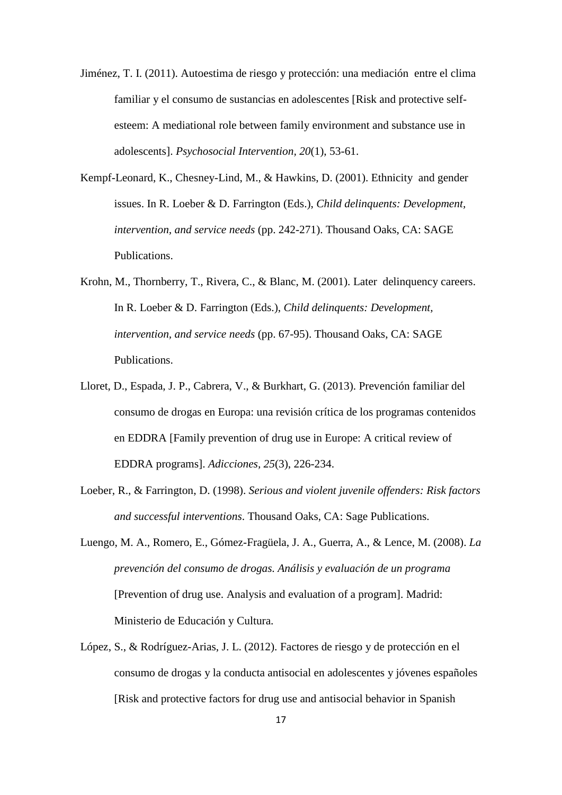- Jiménez, T. I. (2011). Autoestima de riesgo y protección: una mediación entre el clima familiar y el consumo de sustancias en adolescentes [Risk and protective selfesteem: A mediational role between family environment and substance use in adolescents]. *Psychosocial Intervention, 20*(1), 53-61.
- Kempf-Leonard, K., Chesney-Lind, M., & Hawkins, D. (2001). Ethnicity and gender issues. In R. Loeber & D. Farrington (Eds.), *Child delinquents: Development, intervention, and service needs* (pp. 242-271). Thousand Oaks, CA: SAGE Publications.
- Krohn, M., Thornberry, T., Rivera, C., & Blanc, M. (2001). Later delinquency careers. In R. Loeber & D. Farrington (Eds.), *Child delinquents: Development, intervention, and service needs* (pp. 67-95). Thousand Oaks, CA: SAGE Publications.
- Lloret, D., Espada, J. P., Cabrera, V., & Burkhart, G. (2013). Prevención familiar del consumo de drogas en Europa: una revisión crítica de los programas contenidos en EDDRA [Family prevention of drug use in Europe: A critical review of EDDRA programs]. *Adicciones, 25*(3), 226-234.
- Loeber, R., & Farrington, D. (1998). *Serious and violent juvenile offenders: Risk factors and successful interventions*. Thousand Oaks, CA: Sage Publications.
- Luengo, M. A., Romero, E., Gómez-Fragüela, J. A., Guerra, A., & Lence, M. (2008). *La prevención del consumo de drogas. Análisis y evaluación de un programa* [Prevention of drug use. Analysis and evaluation of a program]. Madrid: Ministerio de Educación y Cultura.
- López, S., & Rodríguez-Arias, J. L. (2012). Factores de riesgo y de protección en el consumo de drogas y la conducta antisocial en adolescentes y jóvenes españoles [Risk and protective factors for drug use and antisocial behavior in Spanish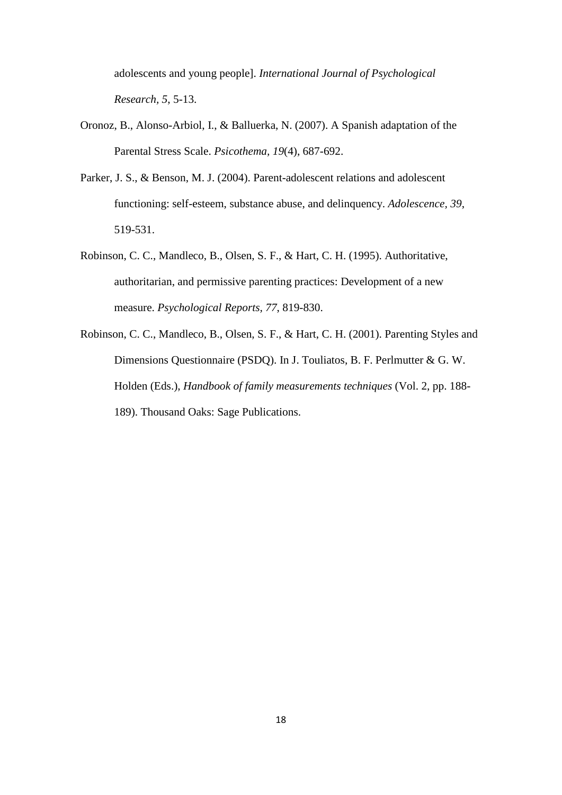adolescents and young people]. *International Journal of Psychological Research, 5*, 5-13.

- Oronoz, B., Alonso-Arbiol, I., & Balluerka, N. (2007). A Spanish adaptation of the Parental Stress Scale. *Psicothema, 19*(4), 687-692.
- Parker, J. S., & Benson, M. J. (2004). Parent-adolescent relations and adolescent functioning: self-esteem, substance abuse, and delinquency. *Adolescence, 39*, 519-531.
- Robinson, C. C., Mandleco, B., Olsen, S. F., & Hart, C. H. (1995). Authoritative, authoritarian, and permissive parenting practices: Development of a new measure. *Psychological Reports, 77*, 819-830.
- Robinson, C. C., Mandleco, B., Olsen, S. F., & Hart, C. H. (2001). Parenting Styles and Dimensions Questionnaire (PSDQ). In J. Touliatos, B. F. Perlmutter & G. W. Holden (Eds.), *Handbook of family measurements techniques* (Vol. 2, pp. 188- 189). Thousand Oaks: Sage Publications.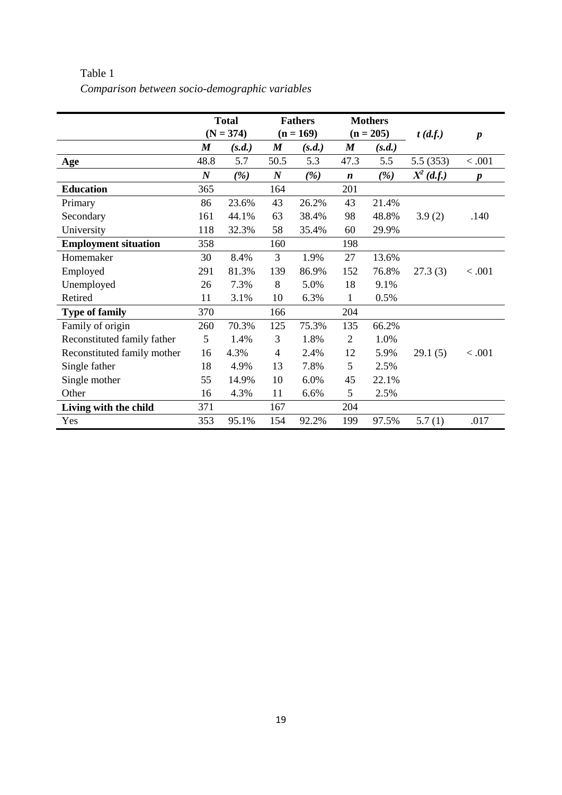|                             | <b>Total</b>     |        | <b>Fathers</b>   |        | <b>Mothers</b>   |        |              |                  |
|-----------------------------|------------------|--------|------------------|--------|------------------|--------|--------------|------------------|
|                             | $(N = 374)$      |        | $(n = 169)$      |        | $(n = 205)$      |        | t(d.f.)      | $\boldsymbol{p}$ |
|                             | $\boldsymbol{M}$ | (s.d.) | $\boldsymbol{M}$ | (s.d.) | $\boldsymbol{M}$ | (s.d.) |              |                  |
| Age                         | 48.8             | 5.7    | 50.5             | 5.3    | 47.3             | 5.5    | 5.5(353)     | < 0.001          |
|                             | $\boldsymbol{N}$ | (%)    | $\boldsymbol{N}$ | (%)    | $\boldsymbol{n}$ | (%)    | $X^2$ (d.f.) | $\boldsymbol{p}$ |
| <b>Education</b>            | 365              |        | 164              |        | 201              |        |              |                  |
| Primary                     | 86               | 23.6%  | 43               | 26.2%  | 43               | 21.4%  |              |                  |
| Secondary                   | 161              | 44.1%  | 63               | 38.4%  | 98               | 48.8%  | 3.9(2)       | .140             |
| University                  | 118              | 32.3%  | 58               | 35.4%  | 60               | 29.9%  |              |                  |
| <b>Employment situation</b> | 358              |        | 160              |        | 198              |        |              |                  |
| Homemaker                   | 30               | 8.4%   | 3                | 1.9%   | 27               | 13.6%  |              |                  |
| Employed                    | 291              | 81.3%  | 139              | 86.9%  | 152              | 76.8%  | 27.3(3)      | < 0.001          |
| Unemployed                  | 26               | 7.3%   | 8                | 5.0%   | 18               | 9.1%   |              |                  |
| Retired                     | 11               | 3.1%   | 10               | 6.3%   | 1                | 0.5%   |              |                  |
| <b>Type of family</b>       | 370              |        | 166              |        | 204              |        |              |                  |
| Family of origin            | 260              | 70.3%  | 125              | 75.3%  | 135              | 66.2%  |              |                  |
| Reconstituted family father | 5                | 1.4%   | 3                | 1.8%   | $\overline{2}$   | 1.0%   |              |                  |
| Reconstituted family mother | 16               | 4.3%   | 4                | 2.4%   | 12               | 5.9%   | 29.1(5)      | < .001           |
| Single father               | 18               | 4.9%   | 13               | 7.8%   | 5                | 2.5%   |              |                  |
| Single mother               | 55               | 14.9%  | 10               | 6.0%   | 45               | 22.1%  |              |                  |
| Other                       | 16               | 4.3%   | 11               | 6.6%   | 5                | 2.5%   |              |                  |
| Living with the child       | 371              |        | 167              |        | 204              |        |              |                  |
| Yes                         | 353              | 95.1%  | 154              | 92.2%  | 199              | 97.5%  | 5.7(1)       | .017             |

Table 1 *Comparison between socio-demographic variables*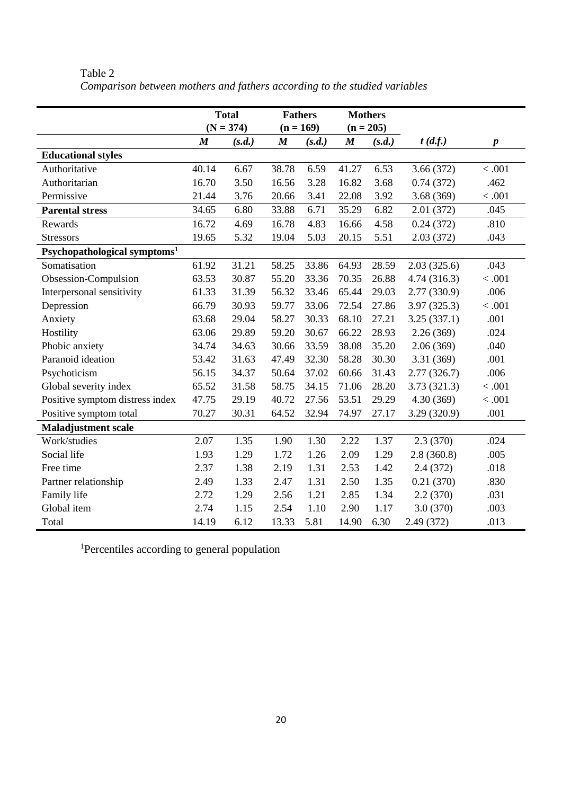|                                          | <b>Total</b>     |        | <b>Fathers</b>   |        | <b>Mothers</b>   |        |             |                  |
|------------------------------------------|------------------|--------|------------------|--------|------------------|--------|-------------|------------------|
|                                          | $(N = 374)$      |        | $(n = 169)$      |        | $(n = 205)$      |        |             |                  |
|                                          | $\boldsymbol{M}$ | (s.d.) | $\boldsymbol{M}$ | (s.d.) | $\boldsymbol{M}$ | (s.d.) | t(d.f.)     | $\boldsymbol{p}$ |
| <b>Educational styles</b>                |                  |        |                  |        |                  |        |             |                  |
| Authoritative                            | 40.14            | 6.67   | 38.78            | 6.59   | 41.27            | 6.53   | 3.66(372)   | < .001           |
| Authoritarian                            | 16.70            | 3.50   | 16.56            | 3.28   | 16.82            | 3.68   | 0.74(372)   | .462             |
| Permissive                               | 21.44            | 3.76   | 20.66            | 3.41   | 22.08            | 3.92   | 3.68(369)   | < .001           |
| <b>Parental stress</b>                   | 34.65            | 6.80   | 33.88            | 6.71   | 35.29            | 6.82   | 2.01(372)   | .045             |
| Rewards                                  | 16.72            | 4.69   | 16.78            | 4.83   | 16.66            | 4.58   | 0.24(372)   | .810             |
| <b>Stressors</b>                         | 19.65            | 5.32   | 19.04            | 5.03   | 20.15            | 5.51   | 2.03(372)   | .043             |
| Psychopathological symptoms <sup>1</sup> |                  |        |                  |        |                  |        |             |                  |
| Somatisation                             | 61.92            | 31.21  | 58.25            | 33.86  | 64.93            | 28.59  | 2.03(325.6) | .043             |
| Obsession-Compulsion                     | 63.53            | 30.87  | 55.20            | 33.36  | 70.35            | 26.88  | 4.74(316.3) | < .001           |
| Interpersonal sensitivity                | 61.33            | 31.39  | 56.32            | 33.46  | 65.44            | 29.03  | 2.77(330.9) | .006             |
| Depression                               | 66.79            | 30.93  | 59.77            | 33.06  | 72.54            | 27.86  | 3.97(325.3) | < .001           |
| Anxiety                                  | 63.68            | 29.04  | 58.27            | 30.33  | 68.10            | 27.21  | 3.25(337.1) | .001             |
| Hostility                                | 63.06            | 29.89  | 59.20            | 30.67  | 66.22            | 28.93  | 2.26(369)   | .024             |
| Phobic anxiety                           | 34.74            | 34.63  | 30.66            | 33.59  | 38.08            | 35.20  | 2.06(369)   | .040             |
| Paranoid ideation                        | 53.42            | 31.63  | 47.49            | 32.30  | 58.28            | 30.30  | 3.31(369)   | .001             |
| Psychoticism                             | 56.15            | 34.37  | 50.64            | 37.02  | 60.66            | 31.43  | 2.77(326.7) | .006             |
| Global severity index                    | 65.52            | 31.58  | 58.75            | 34.15  | 71.06            | 28.20  | 3.73(321.3) | < .001           |
| Positive symptom distress index          | 47.75            | 29.19  | 40.72            | 27.56  | 53.51            | 29.29  | 4.30(369)   | < .001           |
| Positive symptom total                   | 70.27            | 30.31  | 64.52            | 32.94  | 74.97            | 27.17  | 3.29(320.9) | .001             |
| <b>Maladjustment scale</b>               |                  |        |                  |        |                  |        |             |                  |
| Work/studies                             | 2.07             | 1.35   | 1.90             | 1.30   | 2.22             | 1.37   | 2.3(370)    | .024             |
| Social life                              | 1.93             | 1.29   | 1.72             | 1.26   | 2.09             | 1.29   | 2.8(360.8)  | .005             |
| Free time                                | 2.37             | 1.38   | 2.19             | 1.31   | 2.53             | 1.42   | 2.4(372)    | .018             |
| Partner relationship                     | 2.49             | 1.33   | 2.47             | 1.31   | 2.50             | 1.35   | 0.21(370)   | .830             |
| Family life                              | 2.72             | 1.29   | 2.56             | 1.21   | 2.85             | 1.34   | 2.2(370)    | .031             |
| Global item                              | 2.74             | 1.15   | 2.54             | 1.10   | 2.90             | 1.17   | 3.0 (370)   | .003             |
| Total                                    | 14.19            | 6.12   | 13.33            | 5.81   | 14.90            | 6.30   | 2.49 (372)  | .013             |

Table 2 *Comparison between mothers and fathers according to the studied variables*

1 Percentiles according to general population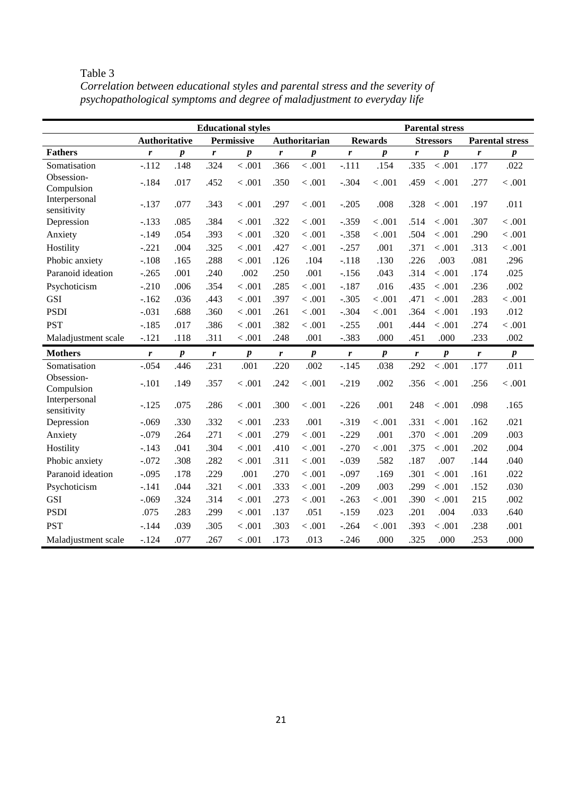|                              |                      |                  |      | <b>Educational styles</b> |              |                  |                  |                  |                  | <b>Parental stress</b> |                  |                        |
|------------------------------|----------------------|------------------|------|---------------------------|--------------|------------------|------------------|------------------|------------------|------------------------|------------------|------------------------|
|                              | <b>Authoritative</b> |                  |      | Permissive                |              | Authoritarian    |                  | <b>Rewards</b>   |                  | <b>Stressors</b>       |                  | <b>Parental stress</b> |
| <b>Fathers</b>               | r                    | $\boldsymbol{p}$ | r    | $\boldsymbol{p}$          | r            | p                | r                | $\boldsymbol{p}$ | r                | $\boldsymbol{p}$       | r                | $\boldsymbol{p}$       |
| Somatisation                 | $-.112$              | .148             | .324 | $<.001$                   | .366         | < .001           | $-.111$          | .154             | .335             | < 0.001                | .177             | .022                   |
| Obsession-<br>Compulsion     | $-.184$              | .017             | .452 | $<.001$                   | .350         | < 0.001          | $-.304$          | < .001           | .459             | $<.001\,$              | .277             | $<.001$                |
| Interpersonal<br>sensitivity | $-.137$              | .077             | .343 | < .001                    | .297         | < 0.001          | $-.205$          | .008             | .328             | < 0.001                | .197             | .011                   |
| Depression                   | $-.133$              | .085             | .384 | < .001                    | .322         | < 0.001          | $-.359$          | < .001           | .514             | < 0.001                | .307             | < 0.001                |
| Anxiety                      | $-.149$              | .054             | .393 | < .001                    | .320         | < 0.001          | $-.358$          | < .001           | .504             | < .001                 | .290             | $<.001$                |
| Hostility                    | $-.221$              | .004             | .325 | < .001                    | .427         | < .001           | $-.257$          | .001             | .371             | < 0.001                | .313             | < .001                 |
| Phobic anxiety               | $-.108$              | .165             | .288 | < .001                    | .126         | .104             | $-.118$          | .130             | .226             | .003                   | .081             | .296                   |
| Paranoid ideation            | $-.265$              | .001             | .240 | .002                      | .250         | .001             | $-.156$          | .043             | .314             | < .001                 | .174             | .025                   |
| Psychoticism                 | $-.210$              | .006             | .354 | < .001                    | .285         | < .001           | $-.187$          | .016             | .435             | < 0.001                | .236             | .002                   |
| <b>GSI</b>                   | $-.162$              | .036             | .443 | < .001                    | .397         | < .001           | $-.305$          | < .001           | .471             | < .001                 | .283             | < .001                 |
| <b>PSDI</b>                  | $-.031$              | .688             | .360 | < .001                    | .261         | < .001           | $-.304$          | < .001           | .364             | < .001                 | .193             | .012                   |
| <b>PST</b>                   | $-.185$              | .017             | .386 | < .001                    | .382         | < 0.001          | $-.255$          | .001             | .444             | < 0.001                | .274             | < .001                 |
| Maladjustment scale          | $-.121$              | .118             | .311 | < .001                    | .248         | .001             | $-.383$          | .000             | .451             | .000                   | .233             | .002                   |
| <b>Mothers</b>               | $\mathbf{r}$         | $\boldsymbol{p}$ | r    | $\boldsymbol{p}$          | $\mathbf{r}$ | $\boldsymbol{p}$ | $\boldsymbol{r}$ | $\boldsymbol{p}$ | $\boldsymbol{r}$ | $\boldsymbol{p}$       | $\boldsymbol{r}$ | $\boldsymbol{p}$       |
| Somatisation                 | $-.054$              | .446             | .231 | .001                      | .220         | .002             | $-.145$          | .038             | .292             | < .001                 | .177             | .011                   |
| Obsession-<br>Compulsion     | $-.101$              | .149             | .357 | $<.001$                   | .242         | < 0.001          | $-.219$          | .002             | .356             | < 0.001                | .256             | $<.001$                |
| Interpersonal<br>sensitivity | $-.125$              | .075             | .286 | < .001                    | .300         | < 0.001          | $-.226$          | .001             | 248              | < .001                 | .098             | .165                   |
| Depression                   | $-.069$              | .330             | .332 | < .001                    | .233         | .001             | $-0.319$         | < .001           | .331             | < 0.001                | .162             | .021                   |
| Anxiety                      | $-.079$              | .264             | .271 | < .001                    | .279         | < .001           | $-.229$          | .001             | .370             | < .001                 | .209             | .003                   |

Hostility -.143 .041 .304 < .001 .410 < .001 -.270 < .001 .375 < .001 .202 .004 Phobic anxiety -.072 .308 .282 < .001 .311 < .001 -.039 .582 .187 .007 .144 .040 Paranoid ideation -.095 .178 .229 .001 .270 < .001 -.097 .169 .301 < .001 .161 .022 Psychoticism -.141 .044 .321 < .001 .333 < .001 -.209 .003 .299 < .001 .152 .030 GSI -.069 .324 .314 < .001 .273 < .001 -.263 < .001 .390 < .001 215 .002 PSDI .075 .283 .299 < .001 .137 .051 -.159 .023 .201 .004 .033 .640 PST -.144 .039 .305 < .001 .303 < .001 -.264 < .001 .393 < .001 .238 .001 Maladjustment scale -.124 .077 .267 < .001 .173 .013 -.246 .000 .325 .000 .253 .000

Table 3 *Correlation between educational styles and parental stress and the severity of psychopathological symptoms and degree of maladjustment to everyday life*